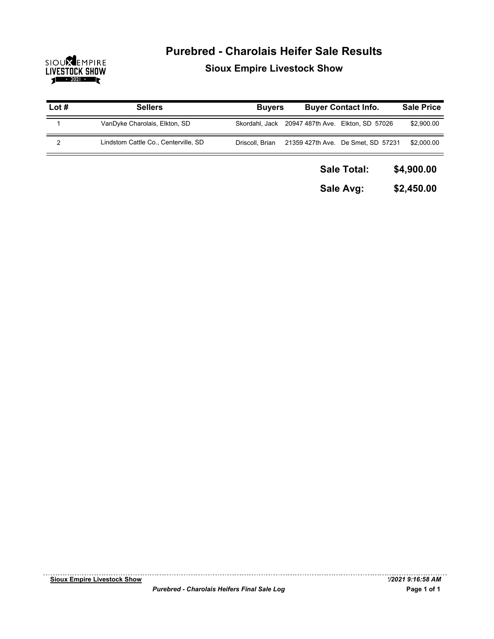

## **Purebred - Charolais Heifer Sale Results Sioux Empire Livestock Show**

| Lot $#$ | <b>Sellers</b>                       | <b>Buyers</b>   | <b>Buyer Contact Info.</b>         | <b>Sale Price</b> |
|---------|--------------------------------------|-----------------|------------------------------------|-------------------|
|         | VanDyke Charolais, Elkton, SD        | Skordahl, Jack  | 20947 487th Ave. Elkton, SD 57026  | \$2,900.00        |
| 2       | Lindstom Cattle Co., Centerville, SD | Driscoll, Brian | 21359 427th Ave. De Smet, SD 57231 | \$2,000.00        |
|         |                                      |                 | <b>Sale Total:</b>                 | \$4,900.00        |
|         |                                      |                 | Sale Avg:                          | \$2,450.00        |